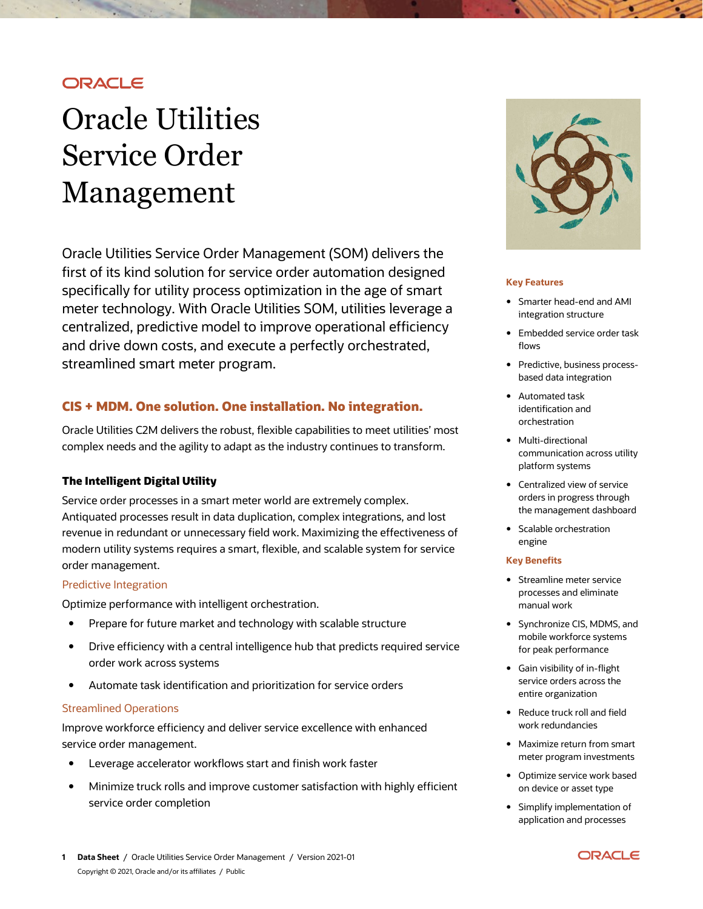# **ORACLE**

# Oracle Utilities Service Order Management

Oracle Utilities Service Order Management (SOM) delivers the first of its kind solution for service order automation designed specifically for utility process optimization in the age of smart meter technology. With Oracle Utilities SOM, utilities leverage a centralized, predictive model to improve operational efficiency and drive down costs, and execute a perfectly orchestrated, streamlined smart meter program.

## **CIS + MDM. One solution. One installation. No integration.**

Oracle Utilities C2M delivers the robust, flexible capabilities to meet utilities' most complex needs and the agility to adapt as the industry continues to transform.

### **The Intelligent Digital Utility**

Service order processes in a smart meter world are extremely complex. Antiquated processes result in data duplication, complex integrations, and lost revenue in redundant or unnecessary field work. Maximizing the effectiveness of modern utility systems requires a smart, flexible, and scalable system for service order management.

#### Predictive Integration

Optimize performance with intelligent orchestration.

- Prepare for future market and technology with scalable structure
- Drive efficiency with a central intelligence hub that predicts required service order work across systems
- Automate task identification and prioritization for service orders

#### Streamlined Operations

Improve workforce efficiency and deliver service excellence with enhanced service order management.

- Leverage accelerator workflows start and finish work faster
- Minimize truck rolls and improve customer satisfaction with highly efficient service order completion



#### **Key Features**

- Smarter head-end and AMI integration structure
- Embedded service order task flows
- Predictive, business processbased data integration
- Automated task identification and orchestration
- Multi-directional communication across utility platform systems
- Centralized view of service orders in progress through the management dashboard
- Scalable orchestration engine

#### **Key Benefits**

- Streamline meter service processes and eliminate manual work
- Synchronize CIS, MDMS, and mobile workforce systems for peak performance
- Gain visibility of in-flight service orders across the entire organization
- Reduce truck roll and field work redundancies
- Maximize return from smart meter program investments
- Optimize service work based on device or asset type
- Simplify implementation of application and processes

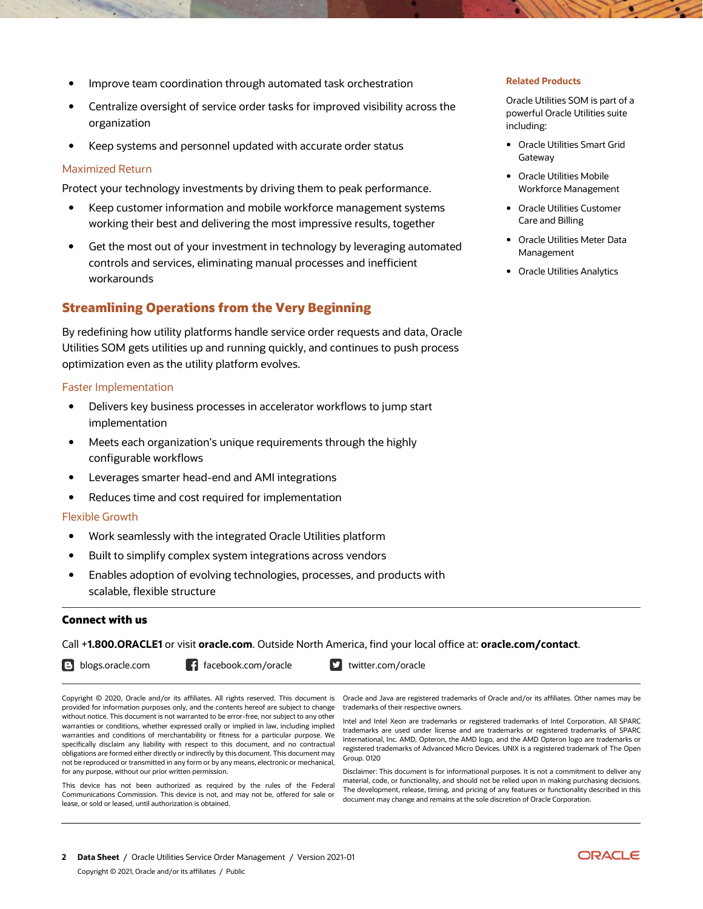- Improve team coordination through automated task orchestration
- Centralize oversight of service order tasks for improved visibility across the organization
- Keep systems and personnel updated with accurate order status

#### Maximized Return

Protect your technology investments by driving them to peak performance.

- Keep customer information and mobile workforce management systems working their best and delivering the most impressive results, together
- Get the most out of your investment in technology by leveraging automated controls and services, eliminating manual processes and inefficient workarounds

## **Streamlining Operations from the Very Beginning**

By redefining how utility platforms handle service order requests and data, Oracle Utilities SOM gets utilities up and running quickly, and continues to push process optimization even as the utility platform evolves.

#### Faster Implementation

- Delivers key business processes in accelerator workflows to jump start implementation
- Meets each organization's unique requirements through the highly configurable workflows
- Leverages smarter head-end and AMI integrations
- Reduces time and cost required for implementation

#### Flexible Growth

- Work seamlessly with the integrated Oracle Utilities platform
- Built to simplify complex system integrations across vendors
- Enables adoption of evolving technologies, processes, and products with scalable, flexible structure

#### **Connect with us**

Call +**1.800.ORACLE1** or visit **oracle.com**. Outside North America, find your local office at: **oracle.com/contact**.

**B** blogs.oracle.com **f** facebook.com/oracle **the state of the state of twitter.com/oracle** 

Copyright © 2020, Oracle and/or its affiliates. All rights reserved. This document is provided for information purposes only, and the contents hereof are subject to change without notice. This document is not warranted to be error-free, nor subject to any other warranties or conditions, whether expressed orally or implied in law, including implied warranties and conditions of merchantability or fitness for a particular purpose. We specifically disclaim any liability with respect to this document, and no contractual obligations are formed either directly or indirectly by this document. This document may not be reproduced or transmitted in any form or by any means, electronic or mechanical, for any purpose, without our prior written permission.

This device has not been authorized as required by the rules of the Federal Communications Commission. This device is not, and may not be, offered for sale or lease, or sold or leased, until authorization is obtained.

#### **Related Products**

Oracle Utilities SOM is part of a powerful Oracle Utilities suite including:

- Oracle Utilities Smart Grid Gateway
- Oracle Utilities Mobile Workforce Management
- Oracle Utilities Customer Care and Billing
- Oracle Utilities Meter Data Management
- Oracle Utilities Analytics

Oracle and Java are registered trademarks of Oracle and/or its affiliates. Other names may be trademarks of their respective owners.

Intel and Intel Xeon are trademarks or registered trademarks of Intel Corporation. All SPARC trademarks are used under license and are trademarks or registered trademarks of SPARC International, Inc. AMD, Opteron, the AMD logo, and the AMD Opteron logo are trademarks or registered trademarks of Advanced Micro Devices. UNIX is a registered trademark of The Open Group. 0120

Disclaimer: This document is for informational purposes. It is not a commitment to deliver any material, code, or functionality, and should not be relied upon in making purchasing decisions. The development, release, timing, and pricing of any features or functionality described in this document may change and remains at the sole discretion of Oracle Corporation.